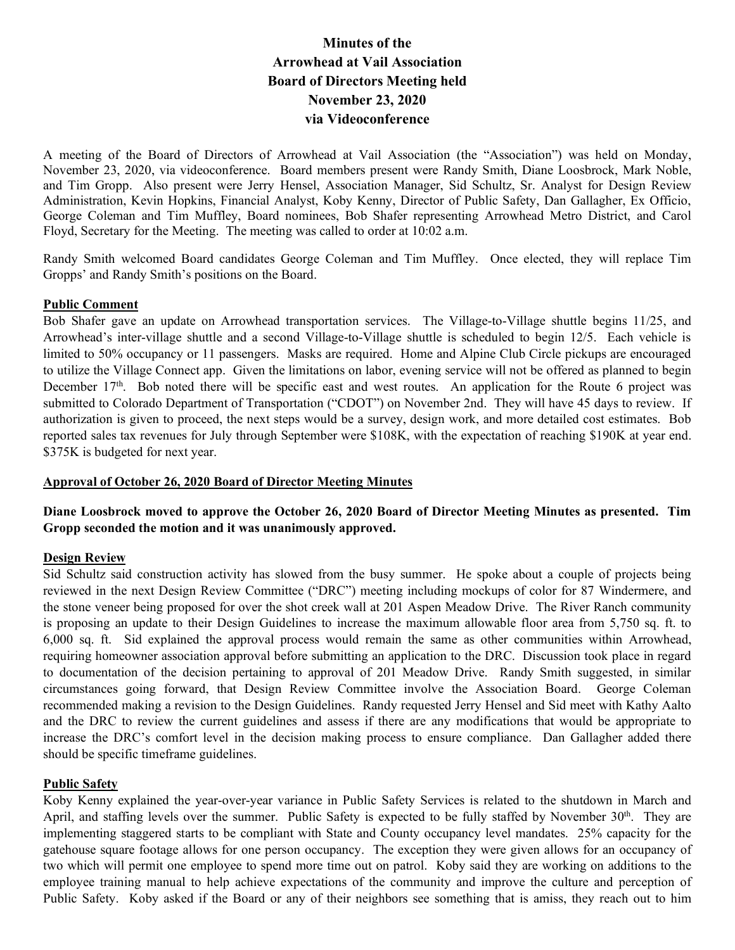# **Minutes of the Arrowhead at Vail Association Board of Directors Meeting held November 23, 2020 via Videoconference**

A meeting of the Board of Directors of Arrowhead at Vail Association (the "Association") was held on Monday, November 23, 2020, via videoconference. Board members present were Randy Smith, Diane Loosbrock, Mark Noble, and Tim Gropp. Also present were Jerry Hensel, Association Manager, Sid Schultz, Sr. Analyst for Design Review Administration, Kevin Hopkins, Financial Analyst, Koby Kenny, Director of Public Safety, Dan Gallagher, Ex Officio, George Coleman and Tim Muffley, Board nominees, Bob Shafer representing Arrowhead Metro District, and Carol Floyd, Secretary for the Meeting. The meeting was called to order at 10:02 a.m.

Randy Smith welcomed Board candidates George Coleman and Tim Muffley. Once elected, they will replace Tim Gropps' and Randy Smith's positions on the Board.

#### **Public Comment**

Bob Shafer gave an update on Arrowhead transportation services. The Village-to-Village shuttle begins 11/25, and Arrowhead's inter-village shuttle and a second Village-to-Village shuttle is scheduled to begin 12/5. Each vehicle is limited to 50% occupancy or 11 passengers. Masks are required. Home and Alpine Club Circle pickups are encouraged to utilize the Village Connect app. Given the limitations on labor, evening service will not be offered as planned to begin December 17<sup>th</sup>. Bob noted there will be specific east and west routes. An application for the Route 6 project was submitted to Colorado Department of Transportation ("CDOT") on November 2nd. They will have 45 days to review. If authorization is given to proceed, the next steps would be a survey, design work, and more detailed cost estimates. Bob reported sales tax revenues for July through September were \$108K, with the expectation of reaching \$190K at year end. \$375K is budgeted for next year.

#### **Approval of October 26, 2020 Board of Director Meeting Minutes**

## **Diane Loosbrock moved to approve the October 26, 2020 Board of Director Meeting Minutes as presented. Tim Gropp seconded the motion and it was unanimously approved.**

#### **Design Review**

Sid Schultz said construction activity has slowed from the busy summer. He spoke about a couple of projects being reviewed in the next Design Review Committee ("DRC") meeting including mockups of color for 87 Windermere, and the stone veneer being proposed for over the shot creek wall at 201 Aspen Meadow Drive. The River Ranch community is proposing an update to their Design Guidelines to increase the maximum allowable floor area from 5,750 sq. ft. to 6,000 sq. ft. Sid explained the approval process would remain the same as other communities within Arrowhead, requiring homeowner association approval before submitting an application to the DRC. Discussion took place in regard to documentation of the decision pertaining to approval of 201 Meadow Drive. Randy Smith suggested, in similar circumstances going forward, that Design Review Committee involve the Association Board. George Coleman recommended making a revision to the Design Guidelines. Randy requested Jerry Hensel and Sid meet with Kathy Aalto and the DRC to review the current guidelines and assess if there are any modifications that would be appropriate to increase the DRC's comfort level in the decision making process to ensure compliance. Dan Gallagher added there should be specific timeframe guidelines.

#### **Public Safety**

Koby Kenny explained the year-over-year variance in Public Safety Services is related to the shutdown in March and April, and staffing levels over the summer. Public Safety is expected to be fully staffed by November 30<sup>th</sup>. They are implementing staggered starts to be compliant with State and County occupancy level mandates. 25% capacity for the gatehouse square footage allows for one person occupancy. The exception they were given allows for an occupancy of two which will permit one employee to spend more time out on patrol. Koby said they are working on additions to the employee training manual to help achieve expectations of the community and improve the culture and perception of Public Safety. Koby asked if the Board or any of their neighbors see something that is amiss, they reach out to him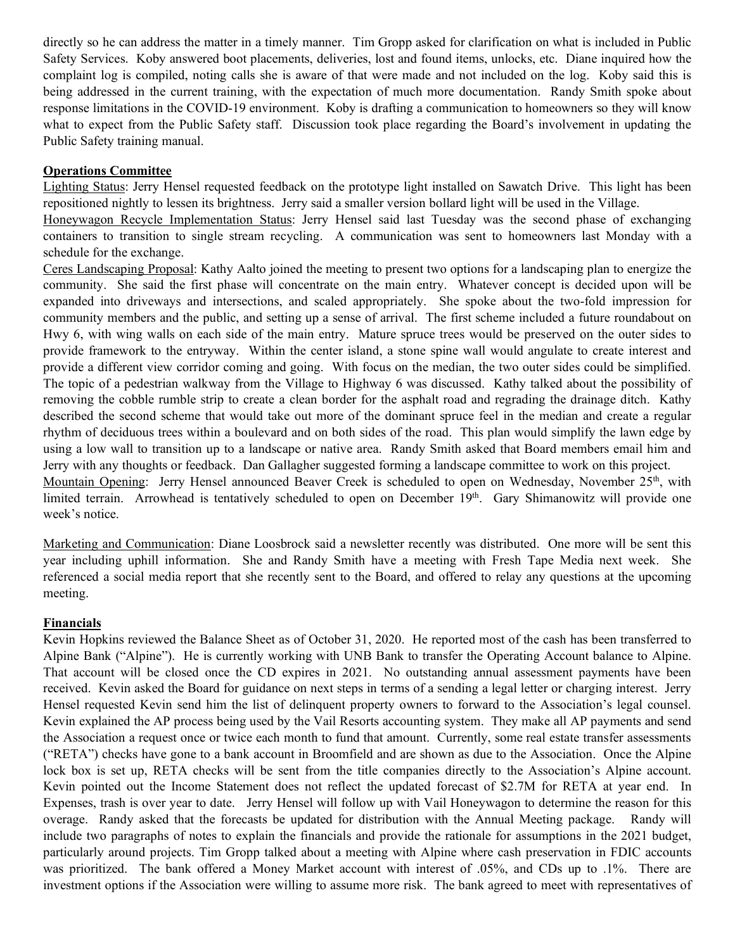directly so he can address the matter in a timely manner. Tim Gropp asked for clarification on what is included in Public Safety Services. Koby answered boot placements, deliveries, lost and found items, unlocks, etc. Diane inquired how the complaint log is compiled, noting calls she is aware of that were made and not included on the log. Koby said this is being addressed in the current training, with the expectation of much more documentation. Randy Smith spoke about response limitations in the COVID-19 environment. Koby is drafting a communication to homeowners so they will know what to expect from the Public Safety staff. Discussion took place regarding the Board's involvement in updating the Public Safety training manual.

#### **Operations Committee**

Lighting Status: Jerry Hensel requested feedback on the prototype light installed on Sawatch Drive. This light has been repositioned nightly to lessen its brightness. Jerry said a smaller version bollard light will be used in the Village.

Honeywagon Recycle Implementation Status: Jerry Hensel said last Tuesday was the second phase of exchanging containers to transition to single stream recycling. A communication was sent to homeowners last Monday with a schedule for the exchange.

Ceres Landscaping Proposal: Kathy Aalto joined the meeting to present two options for a landscaping plan to energize the community. She said the first phase will concentrate on the main entry. Whatever concept is decided upon will be expanded into driveways and intersections, and scaled appropriately. She spoke about the two-fold impression for community members and the public, and setting up a sense of arrival. The first scheme included a future roundabout on Hwy 6, with wing walls on each side of the main entry. Mature spruce trees would be preserved on the outer sides to provide framework to the entryway. Within the center island, a stone spine wall would angulate to create interest and provide a different view corridor coming and going. With focus on the median, the two outer sides could be simplified. The topic of a pedestrian walkway from the Village to Highway 6 was discussed. Kathy talked about the possibility of removing the cobble rumble strip to create a clean border for the asphalt road and regrading the drainage ditch. Kathy described the second scheme that would take out more of the dominant spruce feel in the median and create a regular rhythm of deciduous trees within a boulevard and on both sides of the road. This plan would simplify the lawn edge by using a low wall to transition up to a landscape or native area. Randy Smith asked that Board members email him and Jerry with any thoughts or feedback. Dan Gallagher suggested forming a landscape committee to work on this project. Mountain Opening: Jerry Hensel announced Beaver Creek is scheduled to open on Wednesday, November 25<sup>th</sup>, with

limited terrain. Arrowhead is tentatively scheduled to open on December 19<sup>th</sup>. Gary Shimanowitz will provide one week's notice.

Marketing and Communication: Diane Loosbrock said a newsletter recently was distributed. One more will be sent this year including uphill information. She and Randy Smith have a meeting with Fresh Tape Media next week. She referenced a social media report that she recently sent to the Board, and offered to relay any questions at the upcoming meeting.

### **Financials**

Kevin Hopkins reviewed the Balance Sheet as of October 31, 2020. He reported most of the cash has been transferred to Alpine Bank ("Alpine"). He is currently working with UNB Bank to transfer the Operating Account balance to Alpine. That account will be closed once the CD expires in 2021. No outstanding annual assessment payments have been received. Kevin asked the Board for guidance on next steps in terms of a sending a legal letter or charging interest. Jerry Hensel requested Kevin send him the list of delinquent property owners to forward to the Association's legal counsel. Kevin explained the AP process being used by the Vail Resorts accounting system. They make all AP payments and send the Association a request once or twice each month to fund that amount. Currently, some real estate transfer assessments ("RETA") checks have gone to a bank account in Broomfield and are shown as due to the Association. Once the Alpine lock box is set up, RETA checks will be sent from the title companies directly to the Association's Alpine account. Kevin pointed out the Income Statement does not reflect the updated forecast of \$2.7M for RETA at year end. In Expenses, trash is over year to date. Jerry Hensel will follow up with Vail Honeywagon to determine the reason for this overage. Randy asked that the forecasts be updated for distribution with the Annual Meeting package. Randy will include two paragraphs of notes to explain the financials and provide the rationale for assumptions in the 2021 budget, particularly around projects. Tim Gropp talked about a meeting with Alpine where cash preservation in FDIC accounts was prioritized. The bank offered a Money Market account with interest of .05%, and CDs up to .1%. There are investment options if the Association were willing to assume more risk. The bank agreed to meet with representatives of